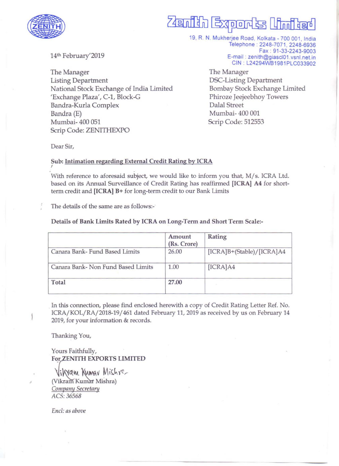

# Zenih Exports

19, R. N. Mukherjee Road, Kolkata - 700 001, India Telephone: 2248-7071, 2248-6936 Fax : 91-33-2243-9003 E-mail: zenith@giascI01.vsnl.net.in CIN : L24294WB1981PLC033902

14th February'2019

The Manager Listing Department National Stock Exchange of India Limited 'Exchange Plaza', C-1, Block-G Bandra-Kurla Complex Bandra (E) Mumbai- 400 051 Scrip Code: ZENITHEXPO

The Manager DSC-Listing Department Bombay Stock Exchange Limited Phiroze Jeejeebhoy Towers Dalal Street Mumbai- 400 001 Scrip Code: 512553

Dear Sir,

I

### Sub: Intimation regarding External Credit Rating by ICRA

With reference to aforesaid subject, we would like to inform you that, M/s. ICRA Ltd. based on its Annual Surveillance of Credit Rating has reaffirmed [ICRA) A4 for shortterm credit and [ICRA) B+ for long-term credit to our Bank Limits

The details of the same are as follows:-

### Details of Bank Limits Rated by ICRA on Long-Term and Short Term Scale:-

|                                    | Amount<br>(Rs. Crore) | Rating                    |
|------------------------------------|-----------------------|---------------------------|
| Canara Bank-Fund Based Limits      | 26.00                 | [ICRA]B+(Stable)/[ICRA]A4 |
| Canara Bank- Non Fund Based Limits | 1.00                  | [ICRA]A4                  |
| Total                              | 27.00                 |                           |

In this connection, please find enclosed herewith a copy of Credit Rating Letter Ref. No. ICRA/KOL/RA/2018-19/461 dated February 11, 2019 as received by us on February 14 2019, for your information & records.

Thanking You,

Yours Faithfully, For ZENITH EXPORTS LIMITED

Vikyam Kumav Mishre (Vikram Kumar Mishra) **Company Secretary** *ACS:36568* 

*End: as above* 

.'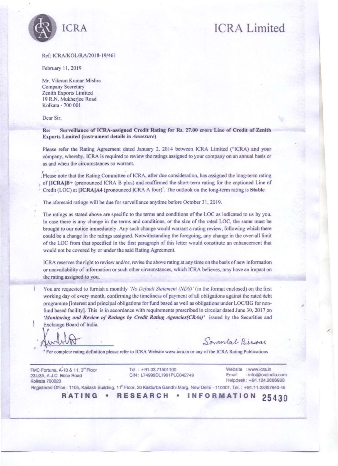

## **ICRA Limited**

#### Ref: ICRA/KOL/RA/2018-19/461

February 11, 2019

Mr. Vikram Kumar Mishra . Company Secretary Zenith Exports Limited 19 R.N. Mukherjee Road Kolkata - 700 001

Dear Sir,

Re: Surveillance of ICRA-assigned Credit Rating for Rs. 27.00 erore Line of Credit of Zenith Exports Limited (instrument details in *Annexure*)

Please refer the Rating Agreement dated January 2, 2014 between ICRA Limited ("ICRA) and your company, whereby, ICRA is required to review the ratings assigned to your company on an annual basis or **as and when the circumstances so warrant.** 

.'Please note that the Rating Committee of ICRA, after due consideration, has assigned the long-term rating of [ICRA]B+ (pronounced ICRA B plus) and reaffirmed the short-term rating for the captioned Line of Credit (LOC) at [ICRA]A4 (pronounced ICRA A four)<sup>†</sup>. The outlook on the long-term rating is Stable.

The aforesaid ratings will be due for surveillance anytime before October 31, 2019.

The ratings as stated above are specific to the terms and conditions of the LOC as indicated to us by you. In case there is any change in the terms and conditions, or the size of the rated LOC, the same must be brought to our notice immediately. Any such change would warrant a rating review, following which there could be a change in the ratings assigned. Notwithstanding the foregoing. any change in the over-all limit of the LOC from that specified in the first paragraph of this letter would constitute an enhancement that would not be covered by or under the said Rating Agreement.

**(eRA reserves the right to review andlor. revise the above rating at any time on the basis of new information or unavailability of information or such other circumstances, which )eRA believes, may have an impact on**  the rating assigned to you.

You are requested to furnish a monthly *'No Default Statement (NDS)'* (in the format enclosed) on the first working day of every month, confirming the timeliness of payment of all obligations against the rated debt programme [interest and principal obligations for fund based as well as obligations under LOCIBG for nonfund based facility]. This is in accordance with requirements prescribed in circular dated June 30, 2017 on 'Monitoring and Review of Ratings by Credit Rating Agencies(CRAs)' issued by the Securities and Exchange Board of India.

Sovan*Lat* Biswas

<sup>+</sup> For complete rating definition please refer to ICRA Website www.icra.in or any of the ICRA Rating Publications

FMC Fortuna, A-10 & 11, 3<sup>et</sup> Floor 234/3A, A.J.C. Bose Road Kolkata 700020

Tel.: +91.33.71501100 CIN: L74999DL1991PLC042749

 $Website : www.icra.in$ **Email : info@icralndia.com**  Helpdesk : +91 .124.2866928

I

**Registered Office : 1105, Kailash Building, 11<sup>n</sup> Floor, 26 Kasturba Gandhi Marg, New Delhi - 110001. Tel. : +91.11.23357940-45<br><b>RATING • RESEARCH • INFORMATION** 25430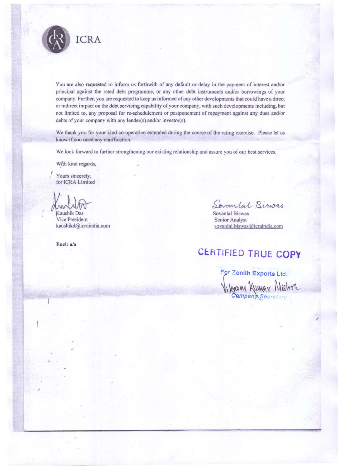

You are also requested to inform us forthwith of any default or delay in the payment of interest and/or principal against the rated debt programme, or any other debt instruments andlor borrowings of your company. Further, you are requested to keep us infonned of any other developments that could have a direct or indirect impact on the debt servicing capability of your company, with such developments including, but not limited to, any proposal for re-schedulement or postponement of repayment against any dues andlor debts of your company with any lender(s) and/or investor(s).

We thank you for your kind co-operation extended during the course of the rating exercise. Please let us know if you need any clarification.

We look forward to further strengthening our existing relationship and assure you of our best services.

With kind regards,

, **Yours sincerely,**  for ICRA Limited

X<br>
Kaushik Das<br>
Vice President<br>
Service President<br>
Service Analyst<br>
Service Analyst<br>
Service Analyst<br>
Service Analyst<br>
Service Analyst<br>
Service Analyst<br>
Service Analyst

Vice President kaushikd@icraindia.com

Encl: a/a

,

Senior Analyst sovanlal.biswas@icraindia.com

## **CERTIFIED TRUE COpy**

For Zenith Exports Ltd. Vilgam Kumar Mishre

,